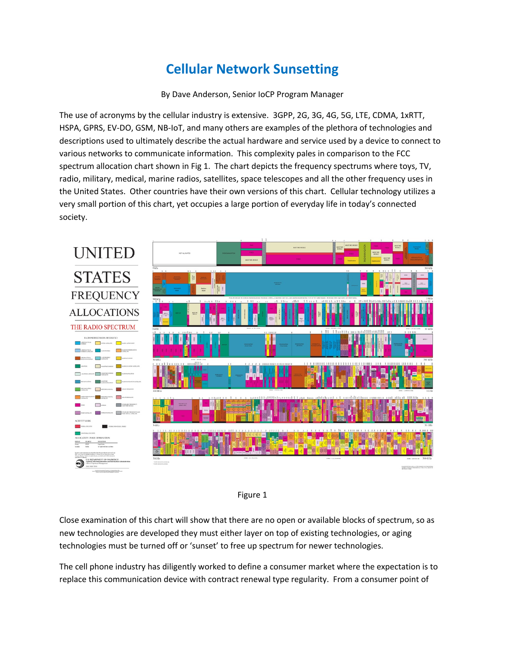## **Cellular Network Sunsetting**

By Dave Anderson, Senior IoCP Program Manager

The use of acronyms by the cellular industry is extensive. 3GPP, 2G, 3G, 4G, 5G, LTE, CDMA, 1xRTT, HSPA, GPRS, EV-DO, GSM, NB-IoT, and many others are examples of the plethora of technologies and descriptions used to ultimately describe the actual hardware and service used by a device to connect to various networks to communicate information. This complexity pales in comparison to the FCC spectrum allocation chart shown in Fig 1. The chart depicts the frequency spectrums where toys, TV, radio, military, medical, marine radios, satellites, space telescopes and all the other frequency uses in the United States. Other countries have their own versions of this chart. Cellular technology utilizes a very small portion of this chart, yet occupies a large portion of everyday life in today's connected society.





Close examination of this chart will show that there are no open or available blocks of spectrum, so as new technologies are developed they must either layer on top of existing technologies, or aging technologies must be turned off or 'sunset' to free up spectrum for newer technologies.

The cell phone industry has diligently worked to define a consumer market where the expectation is to replace this communication device with contract renewal type regularity. From a consumer point of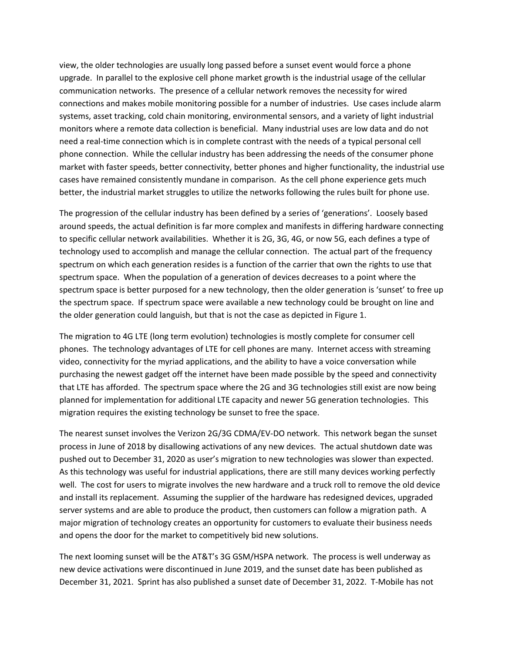view, the older technologies are usually long passed before a sunset event would force a phone upgrade. In parallel to the explosive cell phone market growth is the industrial usage of the cellular communication networks. The presence of a cellular network removes the necessity for wired connections and makes mobile monitoring possible for a number of industries. Use cases include alarm systems, asset tracking, cold chain monitoring, environmental sensors, and a variety of light industrial monitors where a remote data collection is beneficial. Many industrial uses are low data and do not need a real-time connection which is in complete contrast with the needs of a typical personal cell phone connection. While the cellular industry has been addressing the needs of the consumer phone market with faster speeds, better connectivity, better phones and higher functionality, the industrial use cases have remained consistently mundane in comparison. As the cell phone experience gets much better, the industrial market struggles to utilize the networks following the rules built for phone use.

The progression of the cellular industry has been defined by a series of 'generations'. Loosely based around speeds, the actual definition is far more complex and manifests in differing hardware connecting to specific cellular network availabilities. Whether it is 2G, 3G, 4G, or now 5G, each defines a type of technology used to accomplish and manage the cellular connection. The actual part of the frequency spectrum on which each generation resides is a function of the carrier that own the rights to use that spectrum space. When the population of a generation of devices decreases to a point where the spectrum space is better purposed for a new technology, then the older generation is 'sunset' to free up the spectrum space. If spectrum space were available a new technology could be brought on line and the older generation could languish, but that is not the case as depicted in Figure 1.

The migration to 4G LTE (long term evolution) technologies is mostly complete for consumer cell phones. The technology advantages of LTE for cell phones are many. Internet access with streaming video, connectivity for the myriad applications, and the ability to have a voice conversation while purchasing the newest gadget off the internet have been made possible by the speed and connectivity that LTE has afforded. The spectrum space where the 2G and 3G technologies still exist are now being planned for implementation for additional LTE capacity and newer 5G generation technologies. This migration requires the existing technology be sunset to free the space.

The nearest sunset involves the Verizon 2G/3G CDMA/EV-DO network. This network began the sunset process in June of 2018 by disallowing activations of any new devices. The actual shutdown date was pushed out to December 31, 2020 as user's migration to new technologies was slower than expected. As this technology was useful for industrial applications, there are still many devices working perfectly well. The cost for users to migrate involves the new hardware and a truck roll to remove the old device and install its replacement. Assuming the supplier of the hardware has redesigned devices, upgraded server systems and are able to produce the product, then customers can follow a migration path. A major migration of technology creates an opportunity for customers to evaluate their business needs and opens the door for the market to competitively bid new solutions.

The next looming sunset will be the AT&T's 3G GSM/HSPA network. The process is well underway as new device activations were discontinued in June 2019, and the sunset date has been published as December 31, 2021. Sprint has also published a sunset date of December 31, 2022. T-Mobile has not